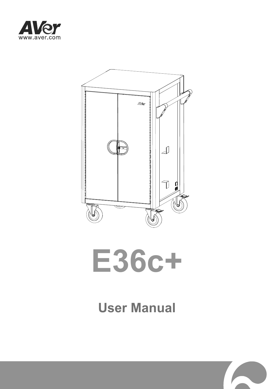





# **User Manual**

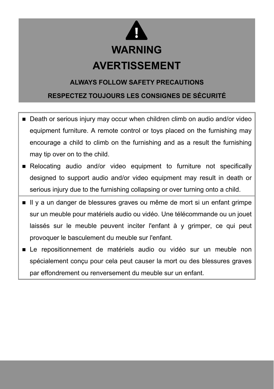

#### **ALWAYS FOLLOW SAFETY PRECAUTIONS**

#### **RESPECTEZ TOUJOURS LES CONSIGNES DE SÉCURITÉ**

- Death or serious injury may occur when children climb on audio and/or video equipment furniture. A remote control or toys placed on the furnishing may encourage a child to climb on the furnishing and as a result the furnishing may tip over on to the child.
- **Relocating audio and/or video equipment to furniture not specifically** designed to support audio and/or video equipment may result in death or serious injury due to the furnishing collapsing or over turning onto a child.
- II y a un danger de blessures graves ou même de mort si un enfant grimpe sur un meuble pour matériels audio ou vidéo. Une télécommande ou un jouet laissés sur le meuble peuvent inciter l'enfant à y grimper, ce qui peut provoquer le basculement du meuble sur l'enfant.
- Le repositionnement de matériels audio ou vidéo sur un meuble non spécialement conçu pour cela peut causer la mort ou des blessures graves par effondrement ou renversement du meuble sur un enfant.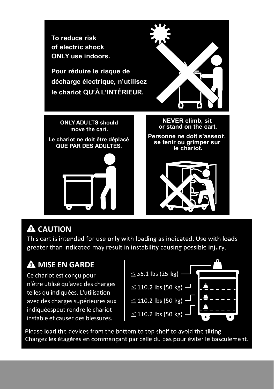

## **A** CAUTION

This cart is intended for use only with loading as indicated. Use with loads greater than indicated may result in instability causing possible injury.

# **MISE EN GARDE**

Ce chariot est conçu pour n'être utilisé qu'avec des charges telles qu'indiquées. L'utilisation avec des charges supérieures aux indiquéespeut rendre le chariot instable et causer des blessures.



Please load the devices from the bottom to top shelf to avoid the tilting. Chargez les étagères en commençant par celle du bas pour éviter le basculement.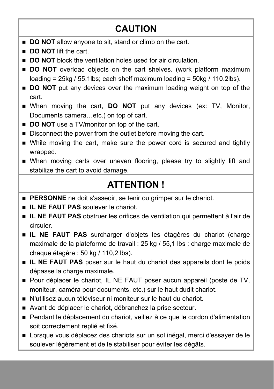## **CAUTION**

- **DO NOT** allow anyone to sit, stand or climb on the cart.
- **DO NOT** lift the cart.
- **DO NOT** block the ventilation holes used for air circulation.
- **DO NOT** overload objects on the cart shelves. (work platform maximum loading =  $25kg / 55.1lbs$ ; each shelf maximum loading =  $50kg / 110.2lbs$ ).
- **DO NOT** put any devices over the maximum loading weight on top of the cart.
- When moving the cart, **DO NOT** put any devices (ex: TV, Monitor, Documents camera…etc.) on top of cart.
- **DO NOT** use a TV/monitor on top of the cart.
- Disconnect the power from the outlet before moving the cart.
- While moving the cart, make sure the power cord is secured and tightly wrapped.
- When moving carts over uneven flooring, please try to slightly lift and stabilize the cart to avoid damage.

## **ATTENTION !**

- **PERSONNE** ne doit s'asseoir, se tenir ou grimper sur le chariot.
- **IL NE FAUT PAS** soulever le chariot.
- **IL NE FAUT PAS** obstruer les orifices de ventilation qui permettent à l'air de circuler.
- **IL NE FAUT PAS** surcharger d'objets les étagères du chariot (charge maximale de la plateforme de travail : 25 kg / 55,1 lbs ; charge maximale de chaque étagère : 50 kg / 110,2 lbs).
- **IL NE FAUT PAS** poser sur le haut du chariot des appareils dont le poids dépasse la charge maximale.
- **Pour déplacer le chariot, IL NE FAUT poser aucun appareil (poste de TV,** moniteur, caméra pour documents, etc.) sur le haut dudit chariot.
- N'utilisez aucun téléviseur ni moniteur sur le haut du chariot.
- Avant de déplacer le chariot, débranchez la prise secteur.
- Pendant le déplacement du chariot, veillez à ce que le cordon d'alimentation soit correctement replié et fixé.
- Lorsque vous déplacez des chariots sur un sol inégal, merci d'essayer de le soulever légèrement et de le stabiliser pour éviter les dégâts.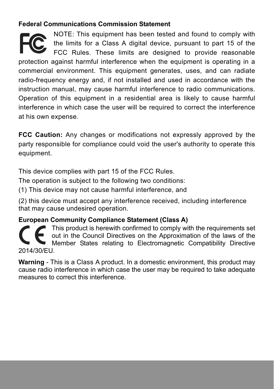### **Federal Communications Commission Statement**

NOTE: This equipment has been tested and found to comply with the limits for a Class A digital device, pursuant to part 15 of the FCC Rules. These limits are designed to provide reasonable protection against harmful interference when the equipment is operating in a commercial environment. This equipment generates, uses, and can radiate radio-frequency energy and, if not installed and used in accordance with the instruction manual, may cause harmful interference to radio communications. Operation of this equipment in a residential area is likely to cause harmful interference in which case the user will be required to correct the interference at his own expense.

**FCC Caution:** Any changes or modifications not expressly approved by the party responsible for compliance could void the user's authority to operate this equipment.

This device complies with part 15 of the FCC Rules.

The operation is subject to the following two conditions:

(1) This device may not cause harmful interference, and

(2) this device must accept any interference received, including interference that may cause undesired operation.

#### **European Community Compliance Statement (Class A)**

This product is herewith confirmed to comply with the requirements set out in the Council Directives on the Approximation of the laws of the Member States relating to Electromagnetic Compatibility Directive 2014/30/EU.

**Warning** - This is a Class A product. In a domestic environment, this product may cause radio interference in which case the user may be required to take adequate measures to correct this interference.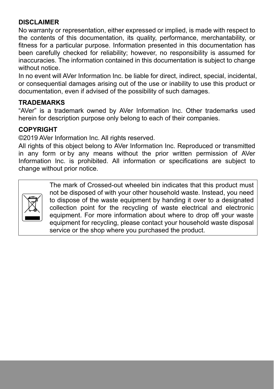### **DISCLAIMER**

No warranty or representation, either expressed or implied, is made with respect to the contents of this documentation, its quality, performance, merchantability, or fitness for a particular purpose. Information presented in this documentation has been carefully checked for reliability; however, no responsibility is assumed for inaccuracies. The information contained in this documentation is subject to change without notice.

In no event will AVer Information Inc. be liable for direct, indirect, special, incidental, or consequential damages arising out of the use or inability to use this product or documentation, even if advised of the possibility of such damages.

#### **TRADEMARKS**

"AVer" is a trademark owned by AVer Information Inc. Other trademarks used herein for description purpose only belong to each of their companies.

#### **COPYRIGHT**

©2019 AVer Information Inc. All rights reserved.

All rights of this object belong to AVer Information Inc. Reproduced or transmitted in any form or by any means without the prior written permission of AVer Information Inc. is prohibited. All information or specifications are subject to change without prior notice.



The mark of Crossed-out wheeled bin indicates that this product must not be disposed of with your other household waste. Instead, you need to dispose of the waste equipment by handing it over to a designated collection point for the recycling of waste electrical and electronic equipment. For more information about where to drop off your waste equipment for recycling, please contact your household waste disposal service or the shop where you purchased the product.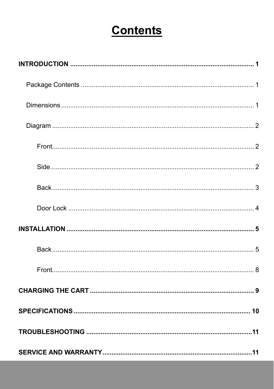# **Contents**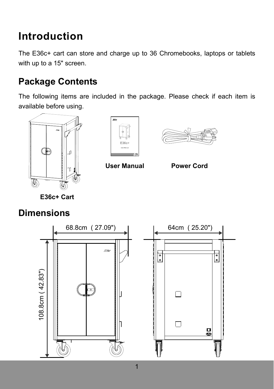# **Introduction**

The E36c+ cart can store and charge up to 36 Chromebooks, laptops or tablets with up to a 15" screen.

## **Package Contents**

The following items are included in the package. Please check if each item is available before using.







**User Manual Power Cord** 

 **E36c+ Cart** 

## **Dimensions**

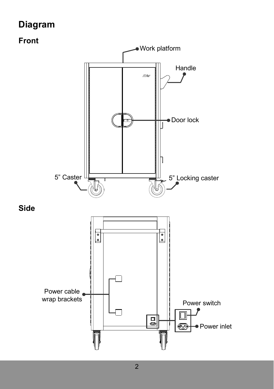## **Diagram**

### **Front**

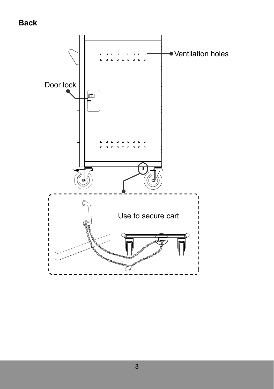### **Back**

![](_page_9_Figure_1.jpeg)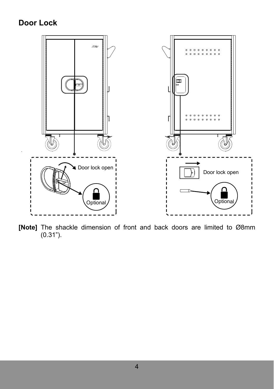### **Door Lock**

![](_page_10_Figure_1.jpeg)

**[Note]** The shackle dimension of front and back doors are limited to Ø8mm (0.31").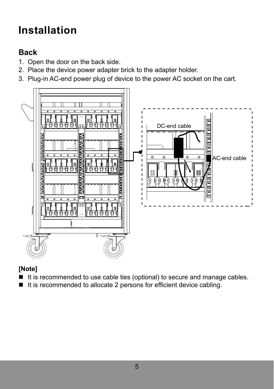# **Installation**

## **Back**

- 1. Open the door on the back side.
- 2. Place the device power adapter brick to the adapter holder.
- 3. Plug-in AC-end power plug of device to the power AC socket on the cart.

![](_page_11_Figure_5.jpeg)

### **[Note]**

- If it is recommended to use cable ties (optional) to secure and manage cables.
- It is recommended to allocate 2 persons for efficient device cabling.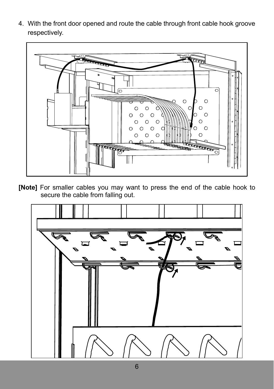4. With the front door opened and route the cable through front cable hook groove respectively.

![](_page_12_Figure_1.jpeg)

**[Note]** For smaller cables you may want to press the end of the cable hook to secure the cable from falling out.

![](_page_12_Picture_3.jpeg)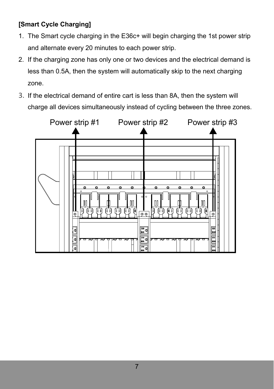### **[Smart Cycle Charging]**

- 1. The Smart cycle charging in the E36c+ will begin charging the 1st power strip and alternate every 20 minutes to each power strip.
- 2. If the charging zone has only one or two devices and the electrical demand is less than 0.5A, then the system will automatically skip to the next charging zone.
- 3. If the electrical demand of entire cart is less than 8A, then the system will charge all devices simultaneously instead of cycling between the three zones.

![](_page_13_Figure_4.jpeg)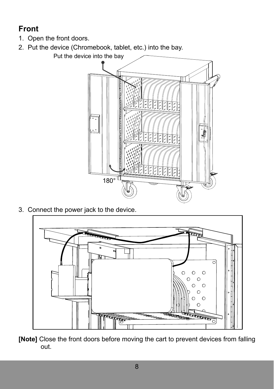## **Front**

- 1. Open the front doors.
- 2. Put the device (Chromebook, tablet, etc.) into the bay.

![](_page_14_Picture_3.jpeg)

3. Connect the power jack to the device.

![](_page_14_Picture_5.jpeg)

**[Note]** Close the front doors before moving the cart to prevent devices from falling out.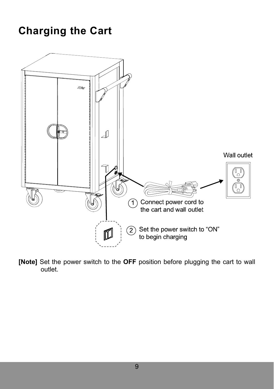# **Charging the Cart**

![](_page_15_Figure_1.jpeg)

**[Note]** Set the power switch to the **OFF** position before plugging the cart to wall outlet.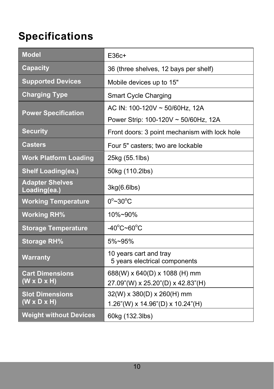# **Specifications**

| <b>Model</b>                                      | $E36c+$                                                                |
|---------------------------------------------------|------------------------------------------------------------------------|
| <b>Capacity</b>                                   | 36 (three shelves, 12 bays per shelf)                                  |
| <b>Supported Devices</b>                          | Mobile devices up to 15"                                               |
| <b>Charging Type</b>                              | <b>Smart Cycle Charging</b>                                            |
| <b>Power Specification</b>                        | AC IN: 100-120V ~ 50/60Hz, 12A<br>Power Strip: 100-120V ~ 50/60Hz, 12A |
| <b>Security</b>                                   | Front doors: 3 point mechanism with lock hole                          |
| <b>Casters</b>                                    | Four 5" casters; two are lockable                                      |
| <b>Work Platform Loading</b>                      | 25kg (55.1lbs)                                                         |
| <b>Shelf Loading(ea.)</b>                         | 50kg (110.2lbs)                                                        |
| <b>Adapter Shelves</b><br>Loading(ea.)            | 3kg(6.6lbs)                                                            |
| <b>Working Temperature</b>                        | $0^\circ \sim 30^\circ C$                                              |
| <b>Working RH%</b>                                | 10%~90%                                                                |
| <b>Storage Temperature</b>                        | $-40^{\circ}$ C~60 $^{\circ}$ C                                        |
| <b>Storage RH%</b>                                | $5\%$ ~95%                                                             |
| <b>Warranty</b>                                   | 10 years cart and tray<br>5 years electrical components                |
| <b>Cart Dimensions</b><br>$(W \times D \times H)$ | 688(W) x 640(D) x 1088 (H) mm<br>27.09"(W) x 25.20"(D) x 42.83"(H)     |
| <b>Slot Dimensions</b><br>$(W \times D \times H)$ | 32(W) x 380(D) x 260(H) mm<br>1.26"(W) x 14.96"(D) x 10.24"(H)         |
| <b>Weight without Devices</b>                     | 60kg (132.3lbs)                                                        |